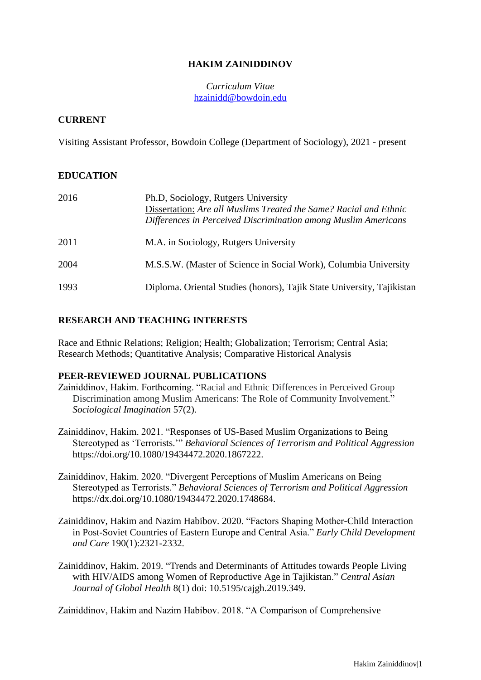# **HAKIM ZAINIDDINOV**

*Curriculum Vitae* [hzainidd@bowdoin.edu](mailto:hzainidd@bowdoin.edu)

#### **CURRENT**

Visiting Assistant Professor, Bowdoin College (Department of Sociology), 2021 - present

### **EDUCATION**

| 2016 | Ph.D. Sociology, Rutgers University<br>Dissertation: Are all Muslims Treated the Same? Racial and Ethnic<br>Differences in Perceived Discrimination among Muslim Americans |
|------|----------------------------------------------------------------------------------------------------------------------------------------------------------------------------|
| 2011 | M.A. in Sociology, Rutgers University                                                                                                                                      |
| 2004 | M.S.S.W. (Master of Science in Social Work), Columbia University                                                                                                           |
| 1993 | Diploma. Oriental Studies (honors), Tajik State University, Tajikistan                                                                                                     |

### **RESEARCH AND TEACHING INTERESTS**

Race and Ethnic Relations; Religion; Health; Globalization; Terrorism; Central Asia; Research Methods; Quantitative Analysis; Comparative Historical Analysis

#### **PEER-REVIEWED JOURNAL PUBLICATIONS**

- Zainiddinov, Hakim. Forthcoming. "Racial and Ethnic Differences in Perceived Group Discrimination among Muslim Americans: The Role of Community Involvement." *Sociological Imagination* 57(2).
- Zainiddinov, Hakim. 2021. "Responses of US-Based Muslim Organizations to Being Stereotyped as 'Terrorists.'" *Behavioral Sciences of Terrorism and Political Aggression* https://doi.org/10.1080/19434472.2020.1867222.
- Zainiddinov, Hakim. 2020. "Divergent Perceptions of Muslim Americans on Being Stereotyped as Terrorists." *Behavioral Sciences of Terrorism and Political Aggression* https://dx.doi.org/10.1080/19434472.2020.1748684.
- Zainiddinov, Hakim and Nazim Habibov. 2020. "Factors Shaping Mother-Child Interaction in Post-Soviet Countries of Eastern Europe and Central Asia." *Early Child Development and Care* 190(1):2321-2332.
- Zainiddinov, Hakim. 2019. "Trends and Determinants of Attitudes towards People Living with HIV/AIDS among Women of Reproductive Age in Tajikistan." *Central Asian Journal of Global Health* 8(1) doi: 10.5195/cajgh.2019.349.

Zainiddinov, Hakim and Nazim Habibov. 2018. "A Comparison of Comprehensive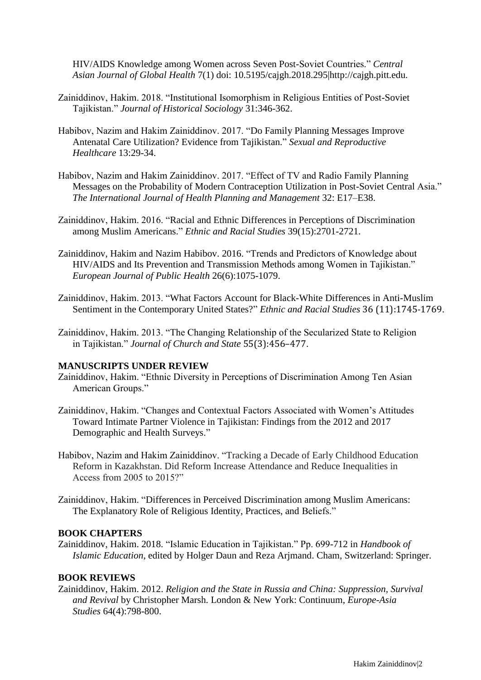HIV/AIDS Knowledge among Women across Seven Post-Soviet Countries." *Central Asian Journal of Global Health* 7(1) doi: 10.5195/cajgh.2018.295|http://cajgh.pitt.edu.

- Zainiddinov, Hakim. 2018. "Institutional Isomorphism in Religious Entities of Post-Soviet Tajikistan." *Journal of Historical Sociology* 31:346-362.
- Habibov, Nazim and Hakim Zainiddinov. 2017. "Do Family Planning Messages Improve Antenatal Care Utilization? Evidence from Tajikistan." *Sexual and Reproductive Healthcare* 13:29-34.
- Habibov, Nazim and Hakim Zainiddinov. 2017. "Effect of TV and Radio Family Planning Messages on the Probability of Modern Contraception Utilization in Post-Soviet Central Asia." *The International Journal of Health Planning and Management* 32: E17–E38.
- Zainiddinov, Hakim. 2016. "Racial and Ethnic Differences in Perceptions of Discrimination among Muslim Americans." *Ethnic and Racial Studies* 39(15):2701-2721.
- Zainiddinov, Hakim and Nazim Habibov. 2016. "Trends and Predictors of Knowledge about HIV/AIDS and Its Prevention and Transmission Methods among Women in Tajikistan." *European Journal of Public Health* 26(6):1075-1079.
- Zainiddinov, Hakim. 2013. "What Factors Account for Black-White Differences in Anti-Muslim Sentiment in the Contemporary United States?" *Ethnic and Racial Studies* 36 (11):1745-1769.
- Zainiddinov, Hakim. 2013. "The Changing Relationship of the Secularized State to Religion in Tajikistan." *Journal of Church and State* 55(3):456–477.

#### **MANUSCRIPTS UNDER REVIEW**

- Zainiddinov, Hakim. "Ethnic Diversity in Perceptions of Discrimination Among Ten Asian American Groups."
- Zainiddinov, Hakim. "Changes and Contextual Factors Associated with Women's Attitudes Toward Intimate Partner Violence in Tajikistan: Findings from the 2012 and 2017 Demographic and Health Surveys."
- Habibov, Nazim and Hakim Zainiddinov. "Tracking a Decade of Early Childhood Education Reform in Kazakhstan. Did Reform Increase Attendance and Reduce Inequalities in Access from 2005 to 2015?"
- Zainiddinov, Hakim. "Differences in Perceived Discrimination among Muslim Americans: The Explanatory Role of Religious Identity, Practices, and Beliefs."

#### **BOOK CHAPTERS**

Zainiddinov, Hakim. 2018. "Islamic Education in Tajikistan." Pp. 699-712 in *Handbook of Islamic Education*, edited by Holger Daun and Reza Arjmand. Cham, Switzerland: Springer.

#### **BOOK REVIEWS**

Zainiddinov, Hakim. 2012. *Religion and the State in Russia and China: Suppression, Survival and Revival* by Christopher Marsh. London & New York: Continuum, *Europe-Asia Studies* 64(4):798-800.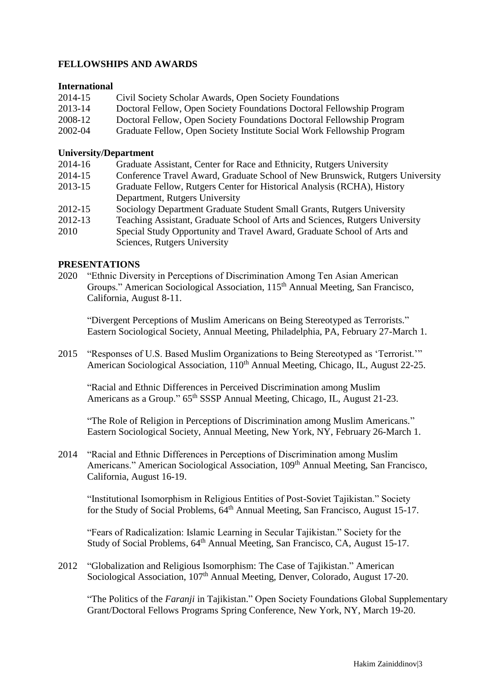# **FELLOWSHIPS AND AWARDS**

#### **International**

| 2014-15 | Civil Society Scholar Awards, Open Society Foundations                 |
|---------|------------------------------------------------------------------------|
| 2013-14 | Doctoral Fellow, Open Society Foundations Doctoral Fellowship Program  |
| 2008-12 | Doctoral Fellow, Open Society Foundations Doctoral Fellowship Program  |
| 2002-04 | Graduate Fellow, Open Society Institute Social Work Fellowship Program |

### **University/Department**

| 2014-16 | Graduate Assistant, Center for Race and Ethnicity, Rutgers University         |
|---------|-------------------------------------------------------------------------------|
| 2014-15 | Conference Travel Award, Graduate School of New Brunswick, Rutgers University |
| 2013-15 | Graduate Fellow, Rutgers Center for Historical Analysis (RCHA), History       |
|         | Department, Rutgers University                                                |
| 2012-15 | Sociology Department Graduate Student Small Grants, Rutgers University        |
| 2012-13 | Teaching Assistant, Graduate School of Arts and Sciences, Rutgers University  |
| 2010    | Special Study Opportunity and Travel Award, Graduate School of Arts and       |

2010 Special Study Opportunity and Travel Award, Graduate School of Arts and Sciences, Rutgers University

### **PRESENTATIONS**

2020 "Ethnic Diversity in Perceptions of Discrimination Among Ten Asian American Groups." American Sociological Association, 115<sup>th</sup> Annual Meeting, San Francisco, California, August 8-11.

"Divergent Perceptions of Muslim Americans on Being Stereotyped as Terrorists." Eastern Sociological Society, Annual Meeting, Philadelphia, PA, February 27-March 1.

2015 "Responses of U.S. Based Muslim Organizations to Being Stereotyped as 'Terrorist.'" American Sociological Association, 110<sup>th</sup> Annual Meeting, Chicago, IL, August 22-25.

"Racial and Ethnic Differences in Perceived Discrimination among Muslim Americans as a Group." 65<sup>th</sup> SSSP Annual Meeting, Chicago, IL, August 21-23.

"The Role of Religion in Perceptions of Discrimination among Muslim Americans." Eastern Sociological Society, Annual Meeting, New York, NY, February 26-March 1.

2014 "Racial and Ethnic Differences in Perceptions of Discrimination among Muslim Americans." American Sociological Association, 109<sup>th</sup> Annual Meeting, San Francisco, California, August 16-19.

"Institutional Isomorphism in Religious Entities of Post-Soviet Tajikistan." Society for the Study of Social Problems,  $64<sup>th</sup>$  Annual Meeting, San Francisco, August 15-17.

"Fears of Radicalization: Islamic Learning in Secular Tajikistan." Society for the Study of Social Problems, 64th Annual Meeting, San Francisco, CA, August 15-17.

2012 "Globalization and Religious Isomorphism: The Case of Tajikistan." American Sociological Association, 107<sup>th</sup> Annual Meeting, Denver, Colorado, August 17-20.

"The Politics of the *Faranji* in Tajikistan." Open Society Foundations Global Supplementary Grant/Doctoral Fellows Programs Spring Conference, New York, NY, March 19-20.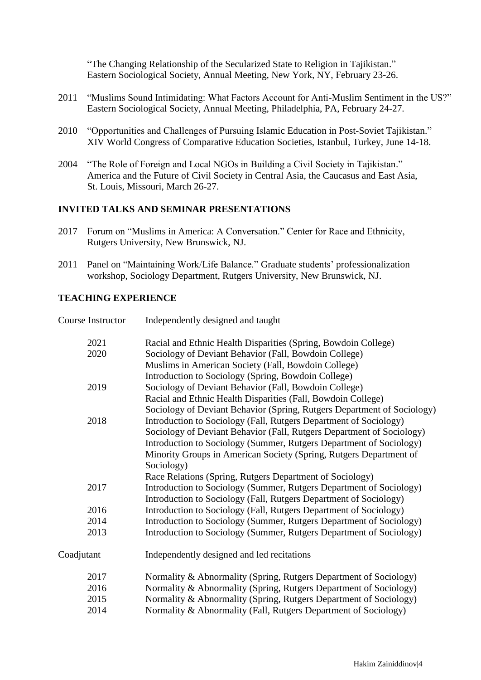"The Changing Relationship of the Secularized State to Religion in Tajikistan." Eastern Sociological Society, Annual Meeting, New York, NY, February 23-26.

- 2011 "Muslims Sound Intimidating: What Factors Account for Anti-Muslim Sentiment in the US?" Eastern Sociological Society, Annual Meeting, Philadelphia, PA, February 24-27.
- 2010 "Opportunities and Challenges of Pursuing Islamic Education in Post-Soviet Tajikistan." XIV World Congress of Comparative Education Societies, Istanbul, Turkey, June 14-18.
- 2004 "The Role of Foreign and Local NGOs in Building a Civil Society in Tajikistan." America and the Future of Civil Society in Central Asia, the Caucasus and East Asia, St. Louis, Missouri, March 26-27.

### **INVITED TALKS AND SEMINAR PRESENTATIONS**

- 2017 Forum on "Muslims in America: A Conversation." Center for Race and Ethnicity, Rutgers University, New Brunswick, NJ.
- 2011 Panel on "Maintaining Work/Life Balance." Graduate students' professionalization workshop, Sociology Department, Rutgers University, New Brunswick, NJ.

#### **TEACHING EXPERIENCE**

| Course Instructor | Independently designed and taught                                       |
|-------------------|-------------------------------------------------------------------------|
| 2021              | Racial and Ethnic Health Disparities (Spring, Bowdoin College)          |
| 2020              | Sociology of Deviant Behavior (Fall, Bowdoin College)                   |
|                   | Muslims in American Society (Fall, Bowdoin College)                     |
|                   | Introduction to Sociology (Spring, Bowdoin College)                     |
| 2019              | Sociology of Deviant Behavior (Fall, Bowdoin College)                   |
|                   | Racial and Ethnic Health Disparities (Fall, Bowdoin College)            |
|                   | Sociology of Deviant Behavior (Spring, Rutgers Department of Sociology) |
| 2018              | Introduction to Sociology (Fall, Rutgers Department of Sociology)       |
|                   | Sociology of Deviant Behavior (Fall, Rutgers Department of Sociology)   |
|                   | Introduction to Sociology (Summer, Rutgers Department of Sociology)     |
|                   | Minority Groups in American Society (Spring, Rutgers Department of      |
|                   | Sociology)                                                              |
|                   | Race Relations (Spring, Rutgers Department of Sociology)                |
| 2017              | Introduction to Sociology (Summer, Rutgers Department of Sociology)     |
|                   | Introduction to Sociology (Fall, Rutgers Department of Sociology)       |
| 2016              | Introduction to Sociology (Fall, Rutgers Department of Sociology)       |
| 2014              | Introduction to Sociology (Summer, Rutgers Department of Sociology)     |
| 2013              | Introduction to Sociology (Summer, Rutgers Department of Sociology)     |
| Coadjutant        | Independently designed and led recitations                              |
| 2017              | Normality & Abnormality (Spring, Rutgers Department of Sociology)       |
| 2016              | Normality & Abnormality (Spring, Rutgers Department of Sociology)       |
| 2015              | Normality & Abnormality (Spring, Rutgers Department of Sociology)       |
| 2014              | Normality & Abnormality (Fall, Rutgers Department of Sociology)         |